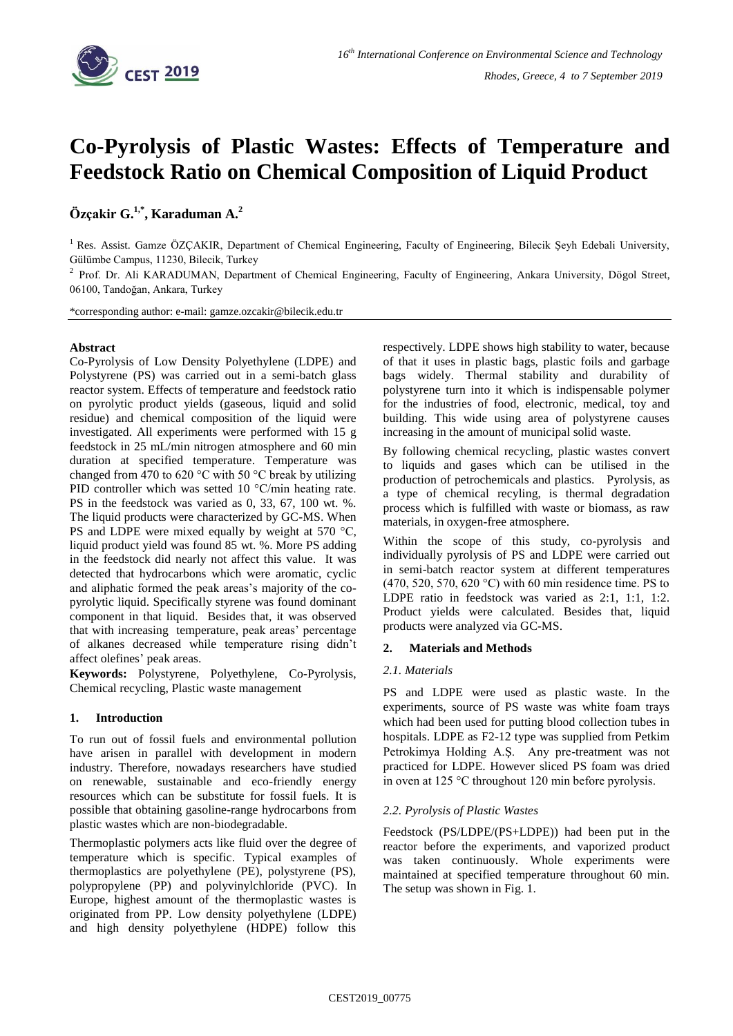

# **Co-Pyrolysis of Plastic Wastes: Effects of Temperature and Feedstock Ratio on Chemical Composition of Liquid Product**

## **Özçakir G. 1,\* , Karaduman A. 2**

<sup>1</sup> Res. Assist. Gamze ÖZÇAKIR, Department of Chemical Engineering, Faculty of Engineering, Bilecik Şeyh Edebali University, Gülümbe Campus, 11230, Bilecik, Turkey

<sup>2</sup> Prof. Dr. Ali KARADUMAN, Department of Chemical Engineering, Faculty of Engineering, Ankara University, Dögol Street, 06100, Tandoğan, Ankara, Turkey

\*corresponding author: e-mail: gamze.ozcakir@bilecik.edu.tr

## **Abstract**

Co-Pyrolysis of Low Density Polyethylene (LDPE) and Polystyrene (PS) was carried out in a semi-batch glass reactor system. Effects of temperature and feedstock ratio on pyrolytic product yields (gaseous, liquid and solid residue) and chemical composition of the liquid were investigated. All experiments were performed with 15 g feedstock in 25 mL/min nitrogen atmosphere and 60 min duration at specified temperature. Temperature was changed from 470 to 620 °C with 50 °C break by utilizing PID controller which was setted 10 °C/min heating rate. PS in the feedstock was varied as 0, 33, 67, 100 wt. %. The liquid products were characterized by GC-MS. When PS and LDPE were mixed equally by weight at 570 °C, liquid product yield was found 85 wt. %. More PS adding in the feedstock did nearly not affect this value. It was detected that hydrocarbons which were aromatic, cyclic and aliphatic formed the peak areas's majority of the copyrolytic liquid. Specifically styrene was found dominant component in that liquid. Besides that, it was observed that with increasing temperature, peak areas' percentage of alkanes decreased while temperature rising didn't affect olefines' peak areas.

**Keywords:** Polystyrene, Polyethylene, Co-Pyrolysis, Chemical recycling, Plastic waste management

## **1. Introduction**

To run out of fossil fuels and environmental pollution have arisen in parallel with development in modern industry. Therefore, nowadays researchers have studied on renewable, sustainable and eco-friendly energy resources which can be substitute for fossil fuels. It is possible that obtaining gasoline-range hydrocarbons from plastic wastes which are non-biodegradable.

Thermoplastic polymers acts like fluid over the degree of temperature which is specific. Typical examples of thermoplastics are polyethylene (PE), polystyrene (PS), polypropylene (PP) and polyvinylchloride (PVC). In Europe, highest amount of the thermoplastic wastes is originated from PP. Low density polyethylene (LDPE) and high density polyethylene (HDPE) follow this respectively. LDPE shows high stability to water, because of that it uses in plastic bags, plastic foils and garbage bags widely. Thermal stability and durability of polystyrene turn into it which is indispensable polymer for the industries of food, electronic, medical, toy and building. This wide using area of polystyrene causes increasing in the amount of municipal solid waste.

By following chemical recycling, plastic wastes convert to liquids and gases which can be utilised in the production of petrochemicals and plastics. Pyrolysis, as a type of chemical recyling, is thermal degradation process which is fulfilled with waste or biomass, as raw materials, in oxygen-free atmosphere.

Within the scope of this study, co-pyrolysis and individually pyrolysis of PS and LDPE were carried out in semi-batch reactor system at different temperatures (470, 520, 570, 620 °C) with 60 min residence time. PS to LDPE ratio in feedstock was varied as 2:1, 1:1, 1:2. Product yields were calculated. Besides that, liquid products were analyzed via GC-MS.

## **2. Materials and Methods**

## *2.1. Materials*

PS and LDPE were used as plastic waste. In the experiments, source of PS waste was white foam trays which had been used for putting blood collection tubes in hospitals. LDPE as F2-12 type was supplied from Petkim Petrokimya Holding A.Ş. Any pre-treatment was not practiced for LDPE. However sliced PS foam was dried in oven at 125 °C throughout 120 min before pyrolysis.

## *2.2. Pyrolysis of Plastic Wastes*

Feedstock (PS/LDPE/(PS+LDPE)) had been put in the reactor before the experiments, and vaporized product was taken continuously. Whole experiments were maintained at specified temperature throughout 60 min. The setup was shown in Fig. 1.